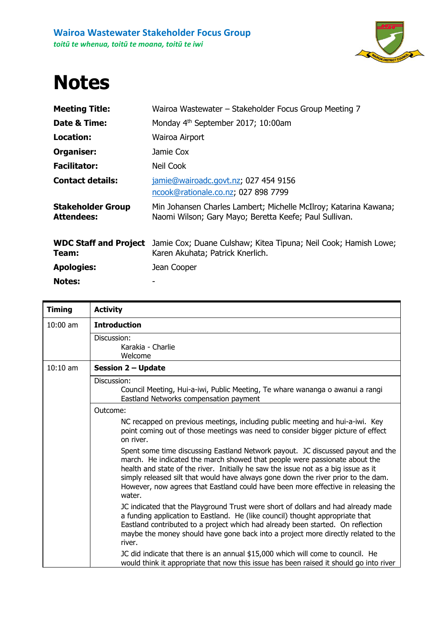

## **Notes**

| <b>Meeting Title:</b>                         | Wairoa Wastewater – Stakeholder Focus Group Meeting 7                                                                      |
|-----------------------------------------------|----------------------------------------------------------------------------------------------------------------------------|
| Date & Time:                                  | Monday 4 <sup>th</sup> September 2017; 10:00am                                                                             |
| Location:                                     | Wairoa Airport                                                                                                             |
| Organiser:                                    | Jamie Cox                                                                                                                  |
| <b>Facilitator:</b>                           | Neil Cook                                                                                                                  |
| <b>Contact details:</b>                       | jamie@wairoadc.govt.nz; 027 454 9156<br>ncook@rationale.co.nz, 027 898 7799                                                |
| <b>Stakeholder Group</b><br><b>Attendees:</b> | Min Johansen Charles Lambert; Michelle McIlroy; Katarina Kawana;<br>Naomi Wilson; Gary Mayo; Beretta Keefe; Paul Sullivan. |
| <b>WDC Staff and Project</b><br>Team:         | Jamie Cox; Duane Culshaw; Kitea Tipuna; Neil Cook; Hamish Lowe;<br>Karen Akuhata; Patrick Knerlich.                        |
| <b>Apologies:</b>                             | Jean Cooper                                                                                                                |
| <b>Notes:</b>                                 |                                                                                                                            |

| <b>Timing</b> | <b>Activity</b>                                                                                                                                                                                                                                                                                                                                                                                                                         |
|---------------|-----------------------------------------------------------------------------------------------------------------------------------------------------------------------------------------------------------------------------------------------------------------------------------------------------------------------------------------------------------------------------------------------------------------------------------------|
| $10:00$ am    | <b>Introduction</b>                                                                                                                                                                                                                                                                                                                                                                                                                     |
|               | Discussion:<br>Karakia - Charlie<br>Welcome                                                                                                                                                                                                                                                                                                                                                                                             |
| $10:10$ am    | <b>Session 2 - Update</b>                                                                                                                                                                                                                                                                                                                                                                                                               |
|               | Discussion:<br>Council Meeting, Hui-a-iwi, Public Meeting, Te whare wananga o awanui a rangi<br>Eastland Networks compensation payment                                                                                                                                                                                                                                                                                                  |
|               | Outcome:                                                                                                                                                                                                                                                                                                                                                                                                                                |
|               | NC recapped on previous meetings, including public meeting and hui-a-iwi. Key<br>point coming out of those meetings was need to consider bigger picture of effect<br>on river.                                                                                                                                                                                                                                                          |
|               | Spent some time discussing Eastland Network payout. JC discussed payout and the<br>march. He indicated the march showed that people were passionate about the<br>health and state of the river. Initially he saw the issue not as a big issue as it<br>simply released silt that would have always gone down the river prior to the dam.<br>However, now agrees that Eastland could have been more effective in releasing the<br>water. |
|               | JC indicated that the Playground Trust were short of dollars and had already made<br>a funding application to Eastland. He (like council) thought appropriate that<br>Eastland contributed to a project which had already been started. On reflection<br>maybe the money should have gone back into a project more directly related to the<br>river.                                                                                    |
|               | JC did indicate that there is an annual \$15,000 which will come to council. He<br>would think it appropriate that now this issue has been raised it should go into river                                                                                                                                                                                                                                                               |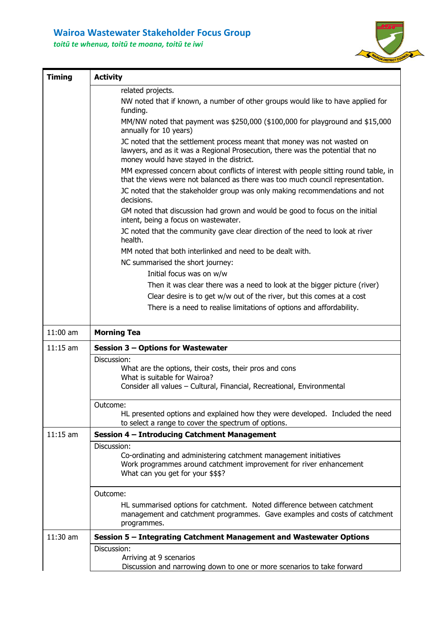## **Wairoa Wastewater Stakeholder Focus Group**

*toitū te whenua, toitū te moana, toitū te iwi*



| <b>Timing</b> | <b>Activity</b>                                                                                                                                                                                       |
|---------------|-------------------------------------------------------------------------------------------------------------------------------------------------------------------------------------------------------|
|               | related projects.                                                                                                                                                                                     |
|               | NW noted that if known, a number of other groups would like to have applied for<br>funding.                                                                                                           |
|               | MM/NW noted that payment was $$250,000$ ( $$100,000$ for playground and $$15,000$<br>annually for 10 years)                                                                                           |
|               | JC noted that the settlement process meant that money was not wasted on<br>lawyers, and as it was a Regional Prosecution, there was the potential that no<br>money would have stayed in the district. |
|               | MM expressed concern about conflicts of interest with people sitting round table, in<br>that the views were not balanced as there was too much council representation.                                |
|               | JC noted that the stakeholder group was only making recommendations and not<br>decisions.                                                                                                             |
|               | GM noted that discussion had grown and would be good to focus on the initial<br>intent, being a focus on wastewater.                                                                                  |
|               | JC noted that the community gave clear direction of the need to look at river<br>health.                                                                                                              |
|               | MM noted that both interlinked and need to be dealt with.                                                                                                                                             |
|               | NC summarised the short journey:                                                                                                                                                                      |
|               | Initial focus was on w/w                                                                                                                                                                              |
|               | Then it was clear there was a need to look at the bigger picture (river)                                                                                                                              |
|               | Clear desire is to get w/w out of the river, but this comes at a cost                                                                                                                                 |
|               | There is a need to realise limitations of options and affordability.                                                                                                                                  |
|               |                                                                                                                                                                                                       |
|               |                                                                                                                                                                                                       |
| $11:00$ am    | <b>Morning Tea</b>                                                                                                                                                                                    |
| $11:15$ am    | <b>Session 3 - Options for Wastewater</b>                                                                                                                                                             |
|               | Discussion:                                                                                                                                                                                           |
|               | What are the options, their costs, their pros and cons                                                                                                                                                |
|               | What is suitable for Wairoa?<br>Consider all values - Cultural, Financial, Recreational, Environmental                                                                                                |
|               | Outcome:                                                                                                                                                                                              |
|               | HL presented options and explained how they were developed. Included the need<br>to select a range to cover the spectrum of options.                                                                  |
| $11:15$ am    | Session 4 - Introducing Catchment Management                                                                                                                                                          |
|               | Discussion:                                                                                                                                                                                           |
|               | Co-ordinating and administering catchment management initiatives<br>Work programmes around catchment improvement for river enhancement<br>What can you get for your \$\$\$?                           |
|               | Outcome:                                                                                                                                                                                              |
|               | HL summarised options for catchment. Noted difference between catchment<br>management and catchment programmes. Gave examples and costs of catchment<br>programmes.                                   |
| $11:30$ am    | Session 5 - Integrating Catchment Management and Wastewater Options                                                                                                                                   |
|               | Discussion:<br>Arriving at 9 scenarios<br>Discussion and narrowing down to one or more scenarios to take forward                                                                                      |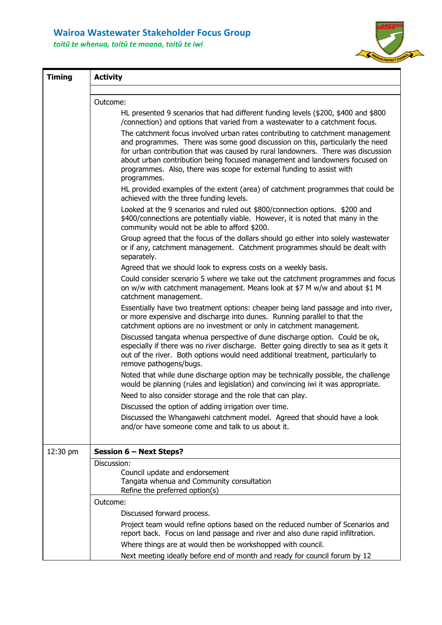## **Wairoa Wastewater Stakeholder Focus Group**

*toitū te whenua, toitū te moana, toitū te iwi*



| <b>Timing</b> | <b>Activity</b>                                                                                                                                                                                                                                                                                                                                                                                                           |  |  |
|---------------|---------------------------------------------------------------------------------------------------------------------------------------------------------------------------------------------------------------------------------------------------------------------------------------------------------------------------------------------------------------------------------------------------------------------------|--|--|
|               | Outcome:                                                                                                                                                                                                                                                                                                                                                                                                                  |  |  |
|               | HL presented 9 scenarios that had different funding levels (\$200, \$400 and \$800<br>/connection) and options that varied from a wastewater to a catchment focus.                                                                                                                                                                                                                                                        |  |  |
|               | The catchment focus involved urban rates contributing to catchment management<br>and programmes. There was some good discussion on this, particularly the need<br>for urban contribution that was caused by rural landowners. There was discussion<br>about urban contribution being focused management and landowners focused on<br>programmes. Also, there was scope for external funding to assist with<br>programmes. |  |  |
|               | HL provided examples of the extent (area) of catchment programmes that could be<br>achieved with the three funding levels.                                                                                                                                                                                                                                                                                                |  |  |
|               | Looked at the 9 scenarios and ruled out \$800/connection options. \$200 and<br>\$400/connections are potentially viable. However, it is noted that many in the<br>community would not be able to afford \$200.                                                                                                                                                                                                            |  |  |
|               | Group agreed that the focus of the dollars should go either into solely wastewater<br>or if any, catchment management. Catchment programmes should be dealt with<br>separately.                                                                                                                                                                                                                                           |  |  |
|               | Agreed that we should look to express costs on a weekly basis.                                                                                                                                                                                                                                                                                                                                                            |  |  |
|               | Could consider scenario 5 where we take out the catchment programmes and focus<br>on w/w with catchment management. Means look at \$7 M w/w and about \$1 M<br>catchment management.                                                                                                                                                                                                                                      |  |  |
|               | Essentially have two treatment options: cheaper being land passage and into river,<br>or more expensive and discharge into dunes. Running parallel to that the<br>catchment options are no investment or only in catchment management.                                                                                                                                                                                    |  |  |
|               | Discussed tangata whenua perspective of dune discharge option. Could be ok,<br>especially if there was no river discharge. Better going directly to sea as it gets it<br>out of the river. Both options would need additional treatment, particularly to<br>remove pathogens/bugs.                                                                                                                                        |  |  |
|               | Noted that while dune discharge option may be technically possible, the challenge<br>would be planning (rules and legislation) and convincing iwi it was appropriate.                                                                                                                                                                                                                                                     |  |  |
|               | Need to also consider storage and the role that can play.                                                                                                                                                                                                                                                                                                                                                                 |  |  |
|               | Discussed the option of adding irrigation over time.                                                                                                                                                                                                                                                                                                                                                                      |  |  |
|               | Discussed the Whangawehi catchment model. Agreed that should have a look<br>and/or have someone come and talk to us about it.                                                                                                                                                                                                                                                                                             |  |  |
| 12:30 pm      | Session 6 - Next Steps?                                                                                                                                                                                                                                                                                                                                                                                                   |  |  |
|               | Discussion:                                                                                                                                                                                                                                                                                                                                                                                                               |  |  |
|               | Council update and endorsement<br>Tangata whenua and Community consultation<br>Refine the preferred option(s)                                                                                                                                                                                                                                                                                                             |  |  |
|               | Outcome:                                                                                                                                                                                                                                                                                                                                                                                                                  |  |  |
|               | Discussed forward process.                                                                                                                                                                                                                                                                                                                                                                                                |  |  |
|               | Project team would refine options based on the reduced number of Scenarios and<br>report back. Focus on land passage and river and also dune rapid infiltration.                                                                                                                                                                                                                                                          |  |  |
|               | Where things are at would then be workshopped with council.                                                                                                                                                                                                                                                                                                                                                               |  |  |
|               | Next meeting ideally before end of month and ready for council forum by 12                                                                                                                                                                                                                                                                                                                                                |  |  |